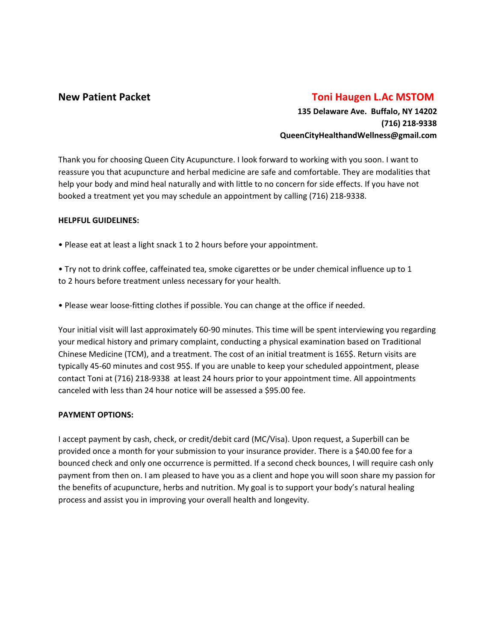# **New Patient Packet Toni Haugen L.Ac MSTOM**

**135 Delaware Ave. Buffalo, NY 14202 (716) 218-9338 QueenCityHealthandWellness@gmail.com**

Thank you for choosing Queen City Acupuncture. I look forward to working with you soon. I want to reassure you that acupuncture and herbal medicine are safe and comfortable. They are modalities that help your body and mind heal naturally and with little to no concern for side effects. If you have not booked a treatment yet you may schedule an appointment by calling (716) 218-9338.

# **HELPFUL GUIDELINES:**

• Please eat at least a light snack 1 to 2 hours before your appointment.

• Try not to drink coffee, caffeinated tea, smoke cigarettes or be under chemical influence up to 1 to 2 hours before treatment unless necessary for your health.

• Please wear loose-fitting clothes if possible. You can change at the office if needed.

Your initial visit will last approximately 60-90 minutes. This time will be spent interviewing you regarding your medical history and primary complaint, conducting a physical examination based on Traditional Chinese Medicine (TCM), and a treatment. The cost of an initial treatment is 165\$. Return visits are typically 45-60 minutes and cost 95\$. If you are unable to keep your scheduled appointment, please contact Toni at (716) 218-9338 at least 24 hours prior to your appointment time. All appointments canceled with less than 24 hour notice will be assessed a \$95.00 fee.

### **PAYMENT OPTIONS:**

I accept payment by cash, check, or credit/debit card (MC/Visa). Upon request, a Superbill can be provided once a month for your submission to your insurance provider. There is a \$40.00 fee for a bounced check and only one occurrence is permitted. If a second check bounces, I will require cash only payment from then on. I am pleased to have you as a client and hope you will soon share my passion for the benefits of acupuncture, herbs and nutrition. My goal is to support your body's natural healing process and assist you in improving your overall health and longevity.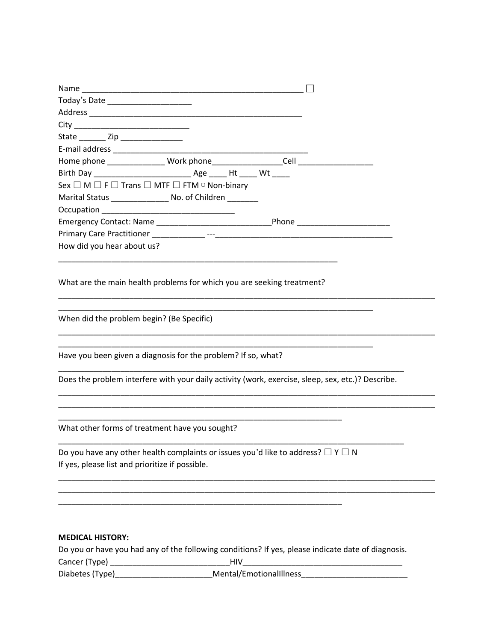| Name                                                                                                                                          |  |
|-----------------------------------------------------------------------------------------------------------------------------------------------|--|
| Today's Date _______________________                                                                                                          |  |
|                                                                                                                                               |  |
|                                                                                                                                               |  |
| State _________ Zip ________________                                                                                                          |  |
|                                                                                                                                               |  |
|                                                                                                                                               |  |
|                                                                                                                                               |  |
| Sex $\square$ M $\square$ F $\square$ Trans $\square$ MTF $\square$ FTM $\circ$ Non-binary                                                    |  |
| Marital Status ____________________ No. of Children ________                                                                                  |  |
|                                                                                                                                               |  |
|                                                                                                                                               |  |
|                                                                                                                                               |  |
| How did you hear about us?                                                                                                                    |  |
| What are the main health problems for which you are seeking treatment?                                                                        |  |
| When did the problem begin? (Be Specific)                                                                                                     |  |
| Have you been given a diagnosis for the problem? If so, what?                                                                                 |  |
| Does the problem interfere with your daily activity (work, exercise, sleep, sex, etc.)? Describe.                                             |  |
| What other forms of treatment have you sought?                                                                                                |  |
| Do you have any other health complaints or issues you'd like to address? $\Box$ Y $\Box$ N<br>If yes, please list and prioritize if possible. |  |
|                                                                                                                                               |  |
| <b>MEDICAL HISTORY:</b>                                                                                                                       |  |
| Do you or have you had any of the following conditions? If yes, please indicate date of diagnosis.                                            |  |
| Diabetes (Type)_                                                                                                                              |  |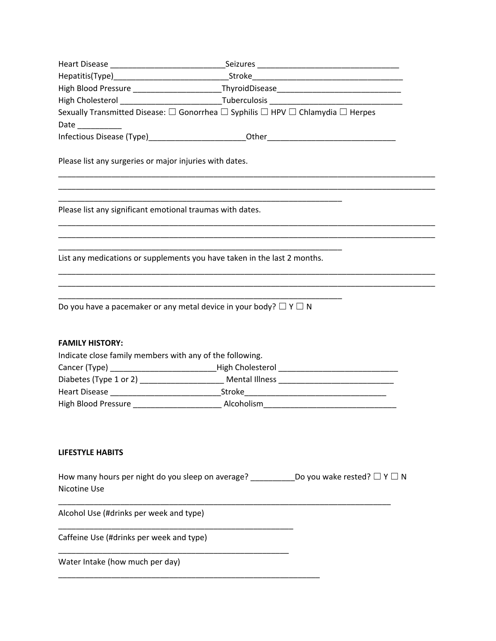| Date                                                                                                                           |  |  |
|--------------------------------------------------------------------------------------------------------------------------------|--|--|
|                                                                                                                                |  |  |
| Please list any surgeries or major injuries with dates.                                                                        |  |  |
| Please list any significant emotional traumas with dates.                                                                      |  |  |
| List any medications or supplements you have taken in the last 2 months.                                                       |  |  |
| Do you have a pacemaker or any metal device in your body? $\Box$ Y $\Box$ N                                                    |  |  |
| <b>FAMILY HISTORY:</b>                                                                                                         |  |  |
| Indicate close family members with any of the following.                                                                       |  |  |
| Cancer (Type) __________________________________High Cholesterol __________________________________                            |  |  |
|                                                                                                                                |  |  |
|                                                                                                                                |  |  |
|                                                                                                                                |  |  |
| <b>LIFESTYLE HABITS</b>                                                                                                        |  |  |
| How many hours per night do you sleep on average? ________________Do you wake rested? $\Box$ Y $\Box$ N<br><b>Nicotine Use</b> |  |  |
| Alcohol Use (#drinks per week and type)                                                                                        |  |  |
| Caffeine Use (#drinks per week and type)                                                                                       |  |  |
| Water Intake (how much per day)                                                                                                |  |  |

\_\_\_\_\_\_\_\_\_\_\_\_\_\_\_\_\_\_\_\_\_\_\_\_\_\_\_\_\_\_\_\_\_\_\_\_\_\_\_\_\_\_\_\_\_\_\_\_\_\_\_\_\_\_\_\_\_\_\_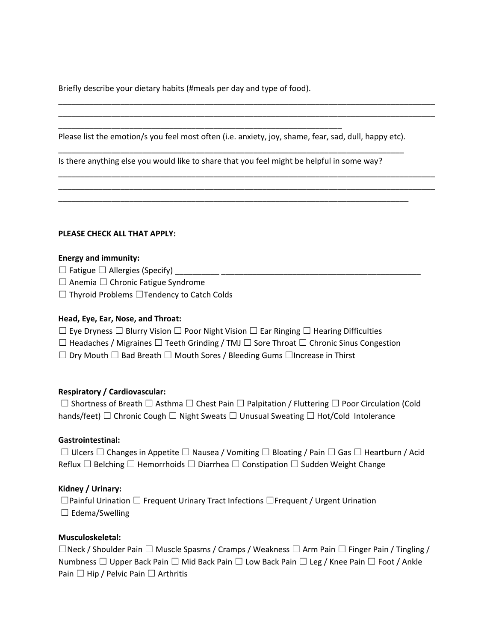Briefly describe your dietary habits (#meals per day and type of food).

\_\_\_\_\_\_\_\_\_\_\_\_\_\_\_\_\_\_\_\_\_\_\_\_\_\_\_\_\_\_\_\_\_\_\_\_\_\_\_\_\_\_\_\_\_\_\_\_\_\_\_\_\_\_\_\_\_\_\_\_\_\_\_\_

Please list the emotion/s you feel most often (i.e. anxiety, joy, shame, fear, sad, dull, happy etc). \_\_\_\_\_\_\_\_\_\_\_\_\_\_\_\_\_\_\_\_\_\_\_\_\_\_\_\_\_\_\_\_\_\_\_\_\_\_\_\_\_\_\_\_\_\_\_\_\_\_\_\_\_\_\_\_\_\_\_\_\_\_\_\_\_\_\_\_\_\_\_\_\_\_\_\_\_\_

\_\_\_\_\_\_\_\_\_\_\_\_\_\_\_\_\_\_\_\_\_\_\_\_\_\_\_\_\_\_\_\_\_\_\_\_\_\_\_\_\_\_\_\_\_\_\_\_\_\_\_\_\_\_\_\_\_\_\_\_\_\_\_\_\_\_\_\_\_\_\_\_\_\_\_\_\_\_\_

\_\_\_\_\_\_\_\_\_\_\_\_\_\_\_\_\_\_\_\_\_\_\_\_\_\_\_\_\_\_\_\_\_\_\_\_\_\_\_\_\_\_\_\_\_\_\_\_\_\_\_\_\_\_\_\_\_\_\_\_\_\_\_\_\_\_\_\_\_\_\_\_\_\_\_\_\_\_\_\_\_\_\_\_\_ \_\_\_\_\_\_\_\_\_\_\_\_\_\_\_\_\_\_\_\_\_\_\_\_\_\_\_\_\_\_\_\_\_\_\_\_\_\_\_\_\_\_\_\_\_\_\_\_\_\_\_\_\_\_\_\_\_\_\_\_\_\_\_\_\_\_\_\_\_\_\_\_\_\_\_\_\_\_\_\_\_\_\_\_\_

\_\_\_\_\_\_\_\_\_\_\_\_\_\_\_\_\_\_\_\_\_\_\_\_\_\_\_\_\_\_\_\_\_\_\_\_\_\_\_\_\_\_\_\_\_\_\_\_\_\_\_\_\_\_\_\_\_\_\_\_\_\_\_\_\_\_\_\_\_\_\_\_\_\_\_\_\_\_\_\_\_\_\_\_\_ \_\_\_\_\_\_\_\_\_\_\_\_\_\_\_\_\_\_\_\_\_\_\_\_\_\_\_\_\_\_\_\_\_\_\_\_\_\_\_\_\_\_\_\_\_\_\_\_\_\_\_\_\_\_\_\_\_\_\_\_\_\_\_\_\_\_\_\_\_\_\_\_\_\_\_\_\_\_\_\_\_\_\_\_\_

Is there anything else you would like to share that you feel might be helpful in some way?

#### **PLEASE CHECK ALL THAT APPLY:**

#### **Energy and immunity:**

 $\Box$  Fatigue  $\Box$  Allergies (Specify)

☐ Anemia ☐ Chronic Fatigue Syndrome

☐ Thyroid Problems ☐Tendency to Catch Colds

#### **Head, Eye, Ear, Nose, and Throat:**

☐ Eye Dryness ☐ Blurry Vision ☐ Poor Night Vision ☐ Ear Ringing ☐ Hearing Difficulties

☐ Headaches / Migraines ☐ Teeth Grinding / TMJ ☐ Sore Throat ☐ Chronic Sinus Congestion

☐ Dry Mouth ☐ Bad Breath ☐ Mouth Sores / Bleeding Gums ☐Increase in Thirst

### **Respiratory / Cardiovascular:**

☐ Shortness of Breath ☐ Asthma ☐ Chest Pain ☐ Palpitation / Fluttering ☐ Poor Circulation (Cold hands/feet)  $□$  Chronic Cough  $□$  Night Sweats  $□$  Unusual Sweating  $□$  Hot/Cold Intolerance

### **Gastrointestinal:**

☐ Ulcers ☐ Changes in Appetite ☐ Nausea / Vomiting ☐ Bloating / Pain ☐ Gas ☐ Heartburn / Acid Reflux  $\Box$  Belching  $\Box$  Hemorrhoids  $\Box$  Diarrhea  $\Box$  Constipation  $\Box$  Sudden Weight Change

### **Kidney / Urinary:**

☐Painful Urination ☐ Frequent Urinary Tract Infections ☐Frequent / Urgent Urination  $\Box$  Edema/Swelling

#### **Musculoskeletal:**

☐Neck / Shoulder Pain ☐ Muscle Spasms / Cramps / Weakness ☐ Arm Pain ☐ Finger Pain / Tingling / Numbness  $\Box$  Upper Back Pain  $\Box$  Mid Back Pain  $\Box$  Low Back Pain  $\Box$  Leg / Knee Pain  $\Box$  Foot / Ankle Pain □ Hip / Pelvic Pain □ Arthritis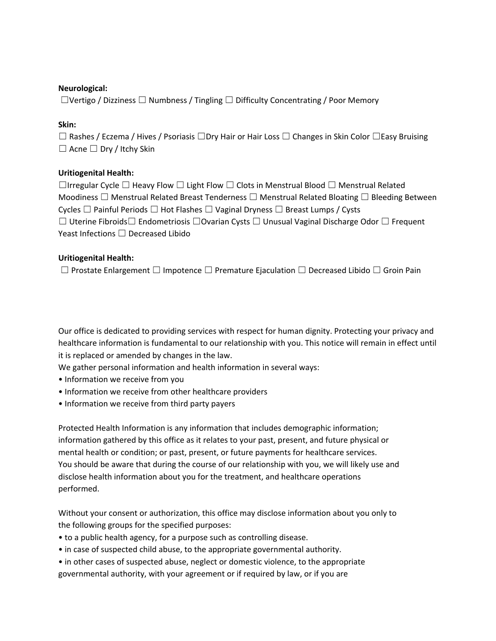### **Neurological:**

 $\Box$ Vertigo / Dizziness  $\Box$  Numbness / Tingling  $\Box$  Difficulty Concentrating / Poor Memory

# **Skin:**

☐ Rashes / Eczema / Hives / Psoriasis ☐Dry Hair or Hair Loss ☐ Changes in Skin Color ☐Easy Bruising ☐ Acne ☐ Dry / Itchy Skin

# **Uritiogenital Health:**

☐Irregular Cycle ☐ Heavy Flow ☐ Light Flow ☐ Clots in Menstrual Blood ☐ Menstrual Related Moodiness  $□$  Menstrual Related Breast Tenderness  $□$  Menstrual Related Bloating  $□$  Bleeding Between Cycles □ Painful Periods □ Hot Flashes □ Vaginal Dryness □ Breast Lumps / Cysts ☐ Uterine Fibroids☐ Endometriosis ☐Ovarian Cysts ☐ Unusual Vaginal Discharge Odor ☐ Frequent Yeast Infections  $\Box$  Decreased Libido

# **Uritiogenital Health:**

☐ Prostate Enlargement ☐ Impotence ☐ Premature Ejaculation ☐ Decreased Libido ☐ Groin Pain

Our office is dedicated to providing services with respect for human dignity. Protecting your privacy and healthcare information is fundamental to our relationship with you. This notice will remain in effect until it is replaced or amended by changes in the law.

We gather personal information and health information in several ways:

- Information we receive from you
- Information we receive from other healthcare providers
- Information we receive from third party payers

Protected Health Information is any information that includes demographic information; information gathered by this office as it relates to your past, present, and future physical or mental health or condition; or past, present, or future payments for healthcare services. You should be aware that during the course of our relationship with you, we will likely use and disclose health information about you for the treatment, and healthcare operations performed.

Without your consent or authorization, this office may disclose information about you only to the following groups for the specified purposes:

- to a public health agency, for a purpose such as controlling disease.
- in case of suspected child abuse, to the appropriate governmental authority.
- in other cases of suspected abuse, neglect or domestic violence, to the appropriate governmental authority, with your agreement or if required by law, or if you are